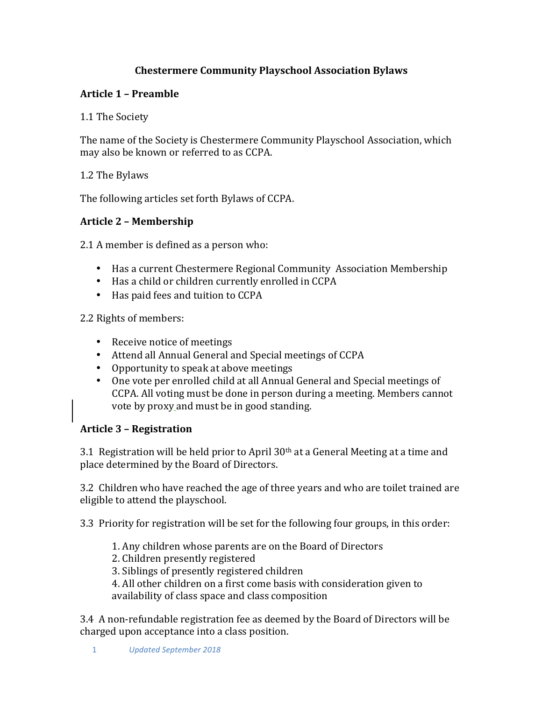# **Chestermere Community Playschool Association Bylaws**

### **Article 1 – Preamble**

1.1 The Society

The name of the Society is Chestermere Community Playschool Association, which may also be known or referred to as CCPA.

1.2 The Bylaws

The following articles set forth Bylaws of CCPA.

### **Article 2 – Membership**

2.1 A member is defined as a person who:

- Has a current Chestermere Regional Community Association Membership
- Has a child or children currently enrolled in CCPA
- Has paid fees and tuition to CCPA

2.2 Rights of members:

- Receive notice of meetings
- Attend all Annual General and Special meetings of CCPA
- Opportunity to speak at above meetings
- One vote per enrolled child at all Annual General and Special meetings of CCPA. All voting must be done in person during a meeting. Members cannot vote by proxy and must be in good standing.

### **Article 3 – Registration**

3.1 Registration will be held prior to April  $30<sup>th</sup>$  at a General Meeting at a time and place determined by the Board of Directors.

3.2 Children who have reached the age of three years and who are toilet trained are eligible to attend the playschool.

3.3 Priority for registration will be set for the following four groups, in this order:

- 1. Any children whose parents are on the Board of Directors
- 2. Children presently registered
- 3. Siblings of presently registered children

4. All other children on a first come basis with consideration given to availability of class space and class composition

3.4 A non-refundable registration fee as deemed by the Board of Directors will be charged upon acceptance into a class position.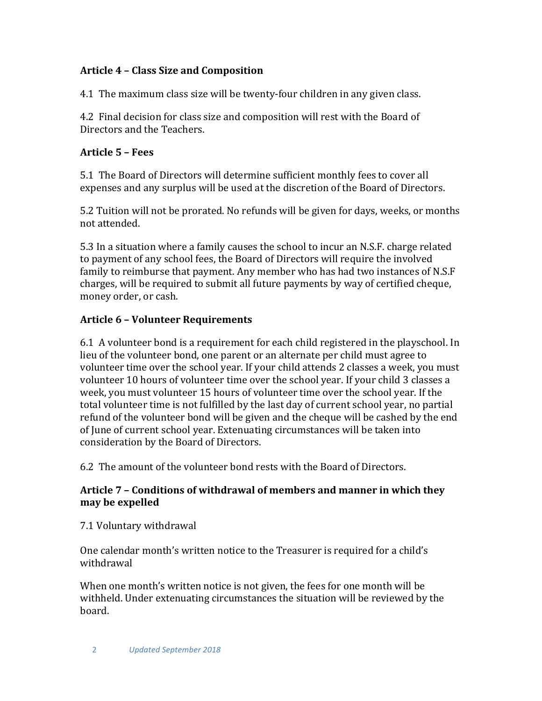## **Article 4 – Class Size and Composition**

4.1 The maximum class size will be twenty-four children in any given class.

4.2 Final decision for class size and composition will rest with the Board of Directors and the Teachers.

# **Article 5 – Fees**

5.1 The Board of Directors will determine sufficient monthly fees to cover all expenses and any surplus will be used at the discretion of the Board of Directors.

5.2 Tuition will not be prorated. No refunds will be given for days, weeks, or months not attended.

5.3 In a situation where a family causes the school to incur an N.S.F. charge related to payment of any school fees, the Board of Directors will require the involved family to reimburse that payment. Any member who has had two instances of N.S.F charges, will be required to submit all future payments by way of certified cheque, money order, or cash.

# **Article 6 – Volunteer Requirements**

6.1 A volunteer bond is a requirement for each child registered in the playschool. In lieu of the volunteer bond, one parent or an alternate per child must agree to volunteer time over the school year. If your child attends 2 classes a week, you must volunteer 10 hours of volunteer time over the school year. If your child 3 classes a week, you must volunteer 15 hours of volunteer time over the school year. If the total volunteer time is not fulfilled by the last day of current school year, no partial refund of the volunteer bond will be given and the cheque will be cashed by the end of June of current school year. Extenuating circumstances will be taken into consideration by the Board of Directors.

6.2 The amount of the volunteer bond rests with the Board of Directors.

### Article 7 – Conditions of withdrawal of members and manner in which they may be expelled

7.1 Voluntary withdrawal

One calendar month's written notice to the Treasurer is required for a child's withdrawal

When one month's written notice is not given, the fees for one month will be withheld. Under extenuating circumstances the situation will be reviewed by the board.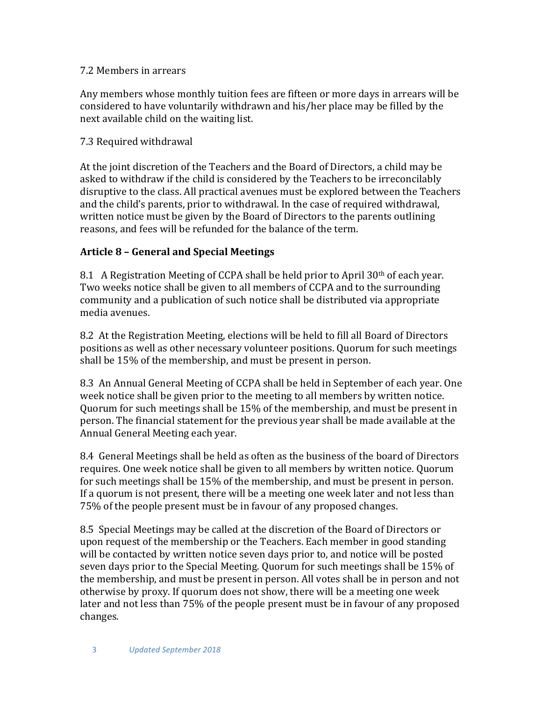#### 7.2 Members in arrears

Any members whose monthly tuition fees are fifteen or more days in arrears will be considered to have voluntarily withdrawn and his/her place may be filled by the next available child on the waiting list.

### 7.3 Required withdrawal

At the joint discretion of the Teachers and the Board of Directors, a child may be asked to withdraw if the child is considered by the Teachers to be irreconcilably disruptive to the class. All practical avenues must be explored between the Teachers and the child's parents, prior to withdrawal. In the case of required withdrawal, written notice must be given by the Board of Directors to the parents outlining reasons, and fees will be refunded for the balance of the term.

## **Article 8 – General and Special Meetings**

8.1 A Registration Meeting of CCPA shall be held prior to April  $30<sup>th</sup>$  of each year. Two weeks notice shall be given to all members of CCPA and to the surrounding community and a publication of such notice shall be distributed via appropriate media avenues. 

8.2 At the Registration Meeting, elections will be held to fill all Board of Directors positions as well as other necessary volunteer positions. Ouorum for such meetings shall be 15% of the membership, and must be present in person.

8.3 An Annual General Meeting of CCPA shall be held in September of each year. One week notice shall be given prior to the meeting to all members by written notice. Quorum for such meetings shall be 15% of the membership, and must be present in person. The financial statement for the previous year shall be made available at the Annual General Meeting each year.

8.4 General Meetings shall be held as often as the business of the board of Directors requires. One week notice shall be given to all members by written notice. Ouorum for such meetings shall be 15% of the membership, and must be present in person. If a quorum is not present, there will be a meeting one week later and not less than 75% of the people present must be in favour of any proposed changes.

8.5 Special Meetings may be called at the discretion of the Board of Directors or upon request of the membership or the Teachers. Each member in good standing will be contacted by written notice seven days prior to, and notice will be posted seven days prior to the Special Meeting. Quorum for such meetings shall be 15% of the membership, and must be present in person. All votes shall be in person and not otherwise by proxy. If quorum does not show, there will be a meeting one week later and not less than 75% of the people present must be in favour of any proposed changes.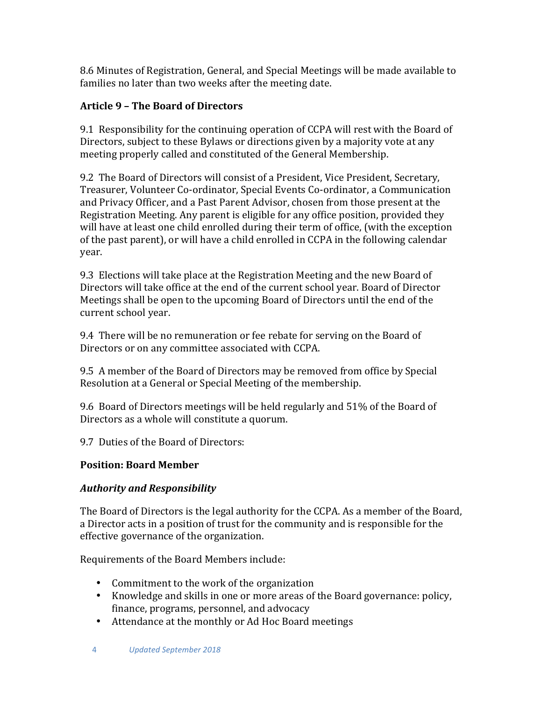8.6 Minutes of Registration, General, and Special Meetings will be made available to families no later than two weeks after the meeting date.

# **Article 9 – The Board of Directors**

9.1 Responsibility for the continuing operation of CCPA will rest with the Board of Directors, subject to these Bylaws or directions given by a majority vote at any meeting properly called and constituted of the General Membership.

9.2 The Board of Directors will consist of a President, Vice President, Secretary, Treasurer, Volunteer Co-ordinator, Special Events Co-ordinator, a Communication and Privacy Officer, and a Past Parent Advisor, chosen from those present at the Registration Meeting. Any parent is eligible for any office position, provided they will have at least one child enrolled during their term of office, (with the exception of the past parent), or will have a child enrolled in CCPA in the following calendar year. 

9.3 Elections will take place at the Registration Meeting and the new Board of Directors will take office at the end of the current school year. Board of Director Meetings shall be open to the upcoming Board of Directors until the end of the current school year.

9.4 There will be no remuneration or fee rebate for serving on the Board of Directors or on any committee associated with CCPA.

9.5 A member of the Board of Directors may be removed from office by Special Resolution at a General or Special Meeting of the membership.

9.6 Board of Directors meetings will be held regularly and 51% of the Board of Directors as a whole will constitute a quorum.

9.7 Duties of the Board of Directors:

# **Position: Board Member**

# *Authority and Responsibility*

The Board of Directors is the legal authority for the CCPA. As a member of the Board. a Director acts in a position of trust for the community and is responsible for the effective governance of the organization.

Requirements of the Board Members include:

- Commitment to the work of the organization
- Knowledge and skills in one or more areas of the Board governance: policy, finance, programs, personnel, and advocacy
- Attendance at the monthly or Ad Hoc Board meetings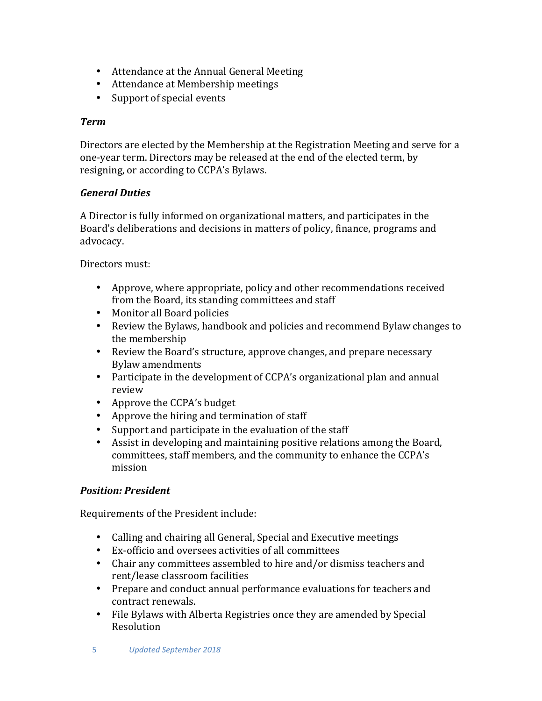- Attendance at the Annual General Meeting
- Attendance at Membership meetings
- Support of special events

#### *Term*

Directors are elected by the Membership at the Registration Meeting and serve for a one-year term. Directors may be released at the end of the elected term, by resigning, or according to CCPA's Bylaws.

### *General Duties*

A Director is fully informed on organizational matters, and participates in the Board's deliberations and decisions in matters of policy, finance, programs and advocacy.

Directors must:

- Approve, where appropriate, policy and other recommendations received from the Board, its standing committees and staff
- Monitor all Board policies
- Review the Bylaws, handbook and policies and recommend Bylaw changes to the membership
- Review the Board's structure, approve changes, and prepare necessary Bylaw amendments
- Participate in the development of CCPA's organizational plan and annual review
- Approve the CCPA's budget
- Approve the hiring and termination of staff
- Support and participate in the evaluation of the staff
- Assist in developing and maintaining positive relations among the Board, committees, staff members, and the community to enhance the CCPA's mission

### *Position: President*

Requirements of the President include:

- Calling and chairing all General, Special and Executive meetings
- Ex-officio and oversees activities of all committees
- Chair any committees assembled to hire and/or dismiss teachers and rent/lease classroom facilities
- Prepare and conduct annual performance evaluations for teachers and contract renewals.
- File Bylaws with Alberta Registries once they are amended by Special Resolution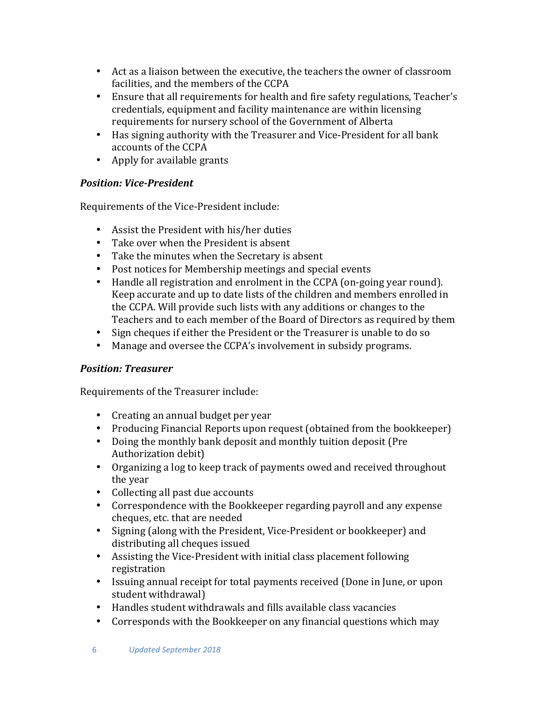- Act as a liaison between the executive, the teachers the owner of classroom facilities, and the members of the CCPA
- Ensure that all requirements for health and fire safety regulations, Teacher's credentials, equipment and facility maintenance are within licensing requirements for nursery school of the Government of Alberta
- Has signing authority with the Treasurer and Vice-President for all bank accounts of the CCPA
- Apply for available grants

## *Position: Vice-President*

Requirements of the Vice-President include:

- Assist the President with his/her duties
- Take over when the President is absent
- Take the minutes when the Secretary is absent
- Post notices for Membership meetings and special events
- Handle all registration and enrolment in the CCPA (on-going year round). Keep accurate and up to date lists of the children and members enrolled in the CCPA. Will provide such lists with any additions or changes to the Teachers and to each member of the Board of Directors as required by them
- Sign cheques if either the President or the Treasurer is unable to do so
- Manage and oversee the CCPA's involvement in subsidy programs.

### *Position: Treasurer*

Requirements of the Treasurer include:

- Creating an annual budget per year
- Producing Financial Reports upon request (obtained from the bookkeeper)
- Doing the monthly bank deposit and monthly tuition deposit (Pre Authorization debit)
- Organizing a log to keep track of payments owed and received throughout the year
- Collecting all past due accounts
- Correspondence with the Bookkeeper regarding payroll and any expense cheques, etc. that are needed
- Signing (along with the President, Vice-President or bookkeeper) and distributing all cheques issued
- Assisting the Vice-President with initial class placement following registration
- Issuing annual receipt for total payments received (Done in June, or upon student withdrawal)
- Handles student withdrawals and fills available class vacancies
- Corresponds with the Bookkeeper on any financial questions which may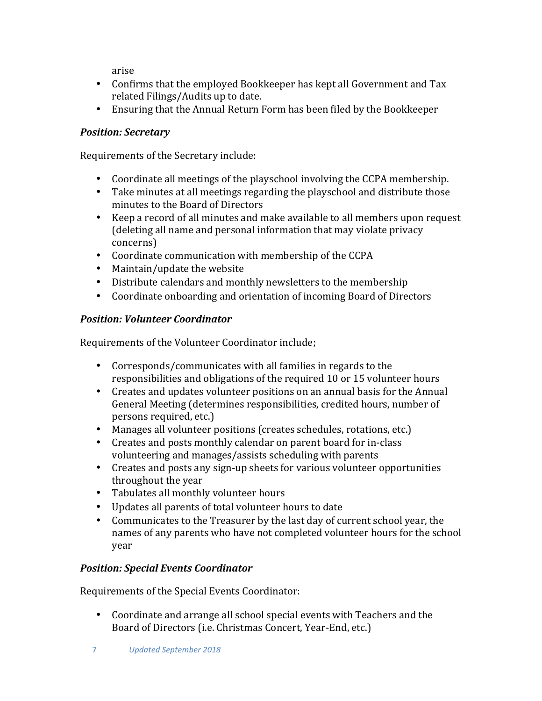arise

- Confirms that the employed Bookkeeper has kept all Government and Tax related Filings/Audits up to date.
- Ensuring that the Annual Return Form has been filed by the Bookkeeper

### *Position: Secretary*

Requirements of the Secretary include:

- Coordinate all meetings of the playschool involving the CCPA membership.
- Take minutes at all meetings regarding the playschool and distribute those minutes to the Board of Directors
- Keep a record of all minutes and make available to all members upon request (deleting all name and personal information that may violate privacy concerns)
- Coordinate communication with membership of the CCPA
- $\bullet$  Maintain/update the website
- Distribute calendars and monthly newsletters to the membership
- Coordinate onboarding and orientation of incoming Board of Directors

## *Position: Volunteer Coordinator*

Requirements of the Volunteer Coordinator include;

- Corresponds/communicates with all families in regards to the responsibilities and obligations of the required 10 or 15 volunteer hours
- Creates and updates volunteer positions on an annual basis for the Annual General Meeting (determines responsibilities, credited hours, number of persons required, etc.)
- Manages all volunteer positions (creates schedules, rotations, etc.)
- Creates and posts monthly calendar on parent board for in-class volunteering and manages/assists scheduling with parents
- Creates and posts any sign-up sheets for various volunteer opportunities throughout the year
- Tabulates all monthly volunteer hours
- Updates all parents of total volunteer hours to date
- Communicates to the Treasurer by the last day of current school year, the names of any parents who have not completed volunteer hours for the school year

# *Position: Special Events Coordinator*

Requirements of the Special Events Coordinator:

• Coordinate and arrange all school special events with Teachers and the Board of Directors (i.e. Christmas Concert, Year-End, etc.)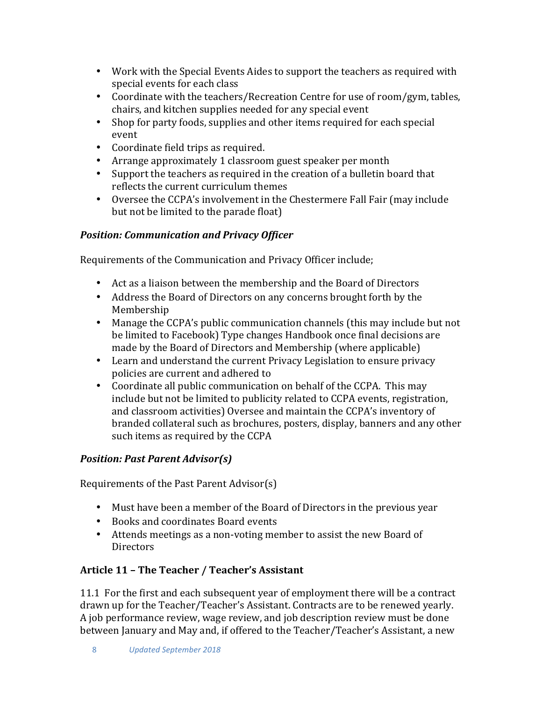- Work with the Special Events Aides to support the teachers as required with special events for each class
- Coordinate with the teachers/Recreation Centre for use of room/gym, tables, chairs, and kitchen supplies needed for any special event
- Shop for party foods, supplies and other items required for each special event
- Coordinate field trips as required.
- Arrange approximately 1 classroom guest speaker per month
- Support the teachers as required in the creation of a bulletin board that reflects the current curriculum themes
- Oversee the CCPA's involvement in the Chestermere Fall Fair (may include but not be limited to the parade float)

# *Position: Communication and Privacy Officer*

Requirements of the Communication and Privacy Officer include;

- Act as a liaison between the membership and the Board of Directors
- Address the Board of Directors on any concerns brought forth by the Membership
- Manage the CCPA's public communication channels (this may include but not be limited to Facebook) Type changes Handbook once final decisions are made by the Board of Directors and Membership (where applicable)
- Learn and understand the current Privacy Legislation to ensure privacy policies are current and adhered to
- Coordinate all public communication on behalf of the CCPA. This may include but not be limited to publicity related to CCPA events, registration, and classroom activities) Oversee and maintain the CCPA's inventory of branded collateral such as brochures, posters, display, banners and any other such items as required by the CCPA

# *Position: Past Parent Advisor(s)*

Requirements of the Past Parent Advisor(s)

- Must have been a member of the Board of Directors in the previous year
- Books and coordinates Board events
- Attends meetings as a non-voting member to assist the new Board of **Directors**

# Article 11 - The Teacher / Teacher's Assistant

11.1 For the first and each subsequent year of employment there will be a contract drawn up for the Teacher/Teacher's Assistant. Contracts are to be renewed yearly. A job performance review, wage review, and job description review must be done between January and May and, if offered to the Teacher/Teacher's Assistant, a new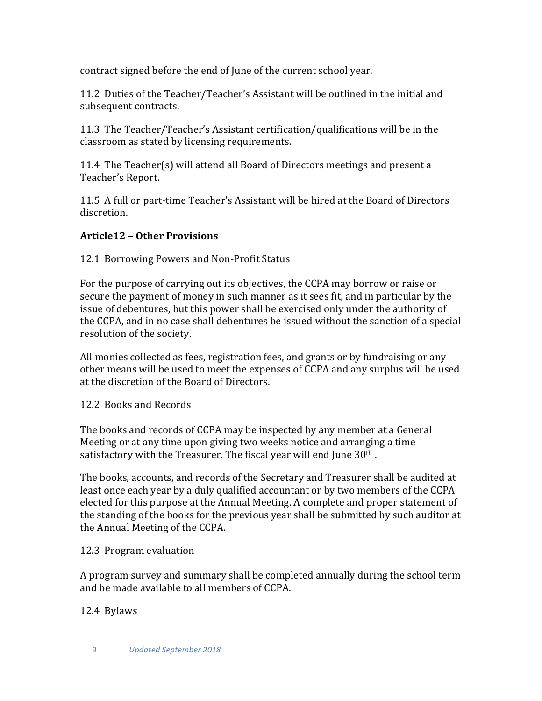contract signed before the end of June of the current school year.

11.2 Duties of the Teacher/Teacher's Assistant will be outlined in the initial and subsequent contracts.

11.3 The Teacher/Teacher's Assistant certification/qualifications will be in the classroom as stated by licensing requirements.

11.4 The Teacher(s) will attend all Board of Directors meetings and present a Teacher's Report.

11.5 A full or part-time Teacher's Assistant will be hired at the Board of Directors discretion. 

#### **Article12 – Other Provisions**

12.1 Borrowing Powers and Non-Profit Status

For the purpose of carrying out its objectives, the CCPA may borrow or raise or secure the payment of money in such manner as it sees fit, and in particular by the issue of debentures, but this power shall be exercised only under the authority of the CCPA, and in no case shall debentures be issued without the sanction of a special resolution of the society.

All monies collected as fees, registration fees, and grants or by fundraising or any other means will be used to meet the expenses of CCPA and any surplus will be used at the discretion of the Board of Directors.

12.2 Books and Records

The books and records of CCPA may be inspected by any member at a General Meeting or at any time upon giving two weeks notice and arranging a time satisfactory with the Treasurer. The fiscal year will end June  $30<sup>th</sup>$ .

The books, accounts, and records of the Secretary and Treasurer shall be audited at least once each year by a duly qualified accountant or by two members of the CCPA elected for this purpose at the Annual Meeting. A complete and proper statement of the standing of the books for the previous year shall be submitted by such auditor at the Annual Meeting of the CCPA.

#### 12.3 Program evaluation

A program survey and summary shall be completed annually during the school term and be made available to all members of CCPA.

12.4 Bylaws